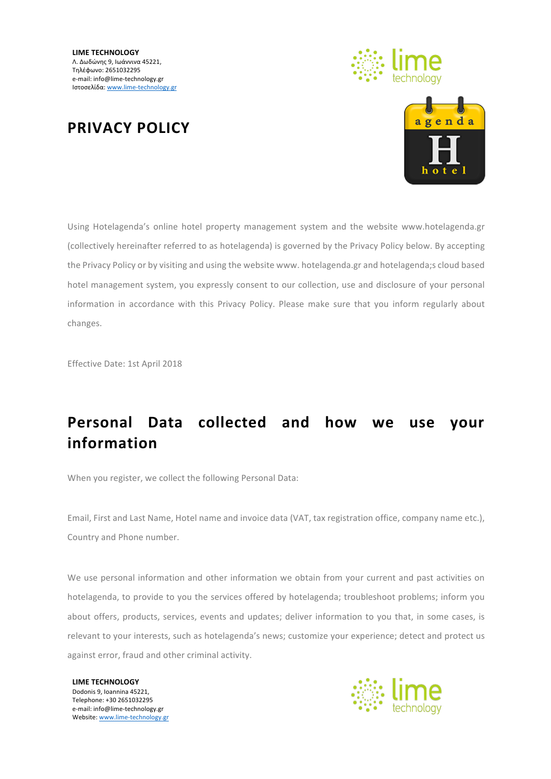



#### **PRIVACY POLICY**

Using Hotelagenda's online hotel property management system and the website www.hotelagenda.gr (collectively hereinafter referred to as hotelagenda) is governed by the Privacy Policy below. By accepting the Privacy Policy or by visiting and using the website www. hotelagenda.gr and hotelagenda;s cloud based hotel management system, you expressly consent to our collection, use and disclosure of your personal information in accordance with this Privacy Policy. Please make sure that you inform regularly about changes.

Effective Date: 1st April 2018

### Personal Data collected and how we use your **information**

When you register, we collect the following Personal Data:

Email, First and Last Name, Hotel name and invoice data (VAT, tax registration office, company name etc.), Country and Phone number.

We use personal information and other information we obtain from your current and past activities on hotelagenda, to provide to you the services offered by hotelagenda; troubleshoot problems; inform you about offers, products, services, events and updates; deliver information to you that, in some cases, is relevant to your interests, such as hotelagenda's news; customize your experience; detect and protect us against error, fraud and other criminal activity.

**LIME TECHNOLOGY** Dodonis 9, Ioannina 45221. Telephone: +30 2651032295 e-mail: info@lime-technology.gr Website: www.lime-technology.gr